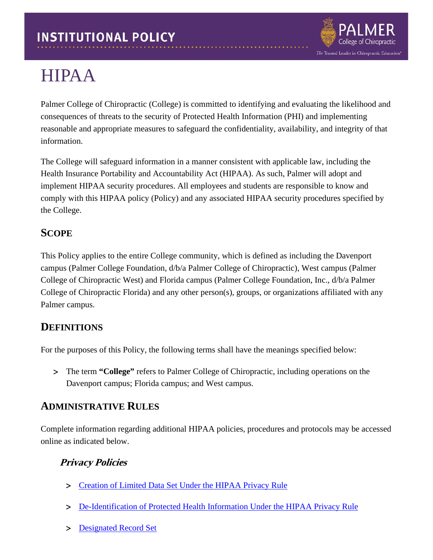

# HIPAA

Palmer College of Chiropractic (College) is committed to identifying and evaluating the likelihood and consequences of threats to the security of Protected Health Information (PHI) and implementing reasonable and appropriate measures to safeguard the confidentiality, availability, and integrity of that information.

The College will safeguard information in a manner consistent with applicable law, including the Health Insurance Portability and Accountability Act (HIPAA). As such, Palmer will adopt and implement HIPAA security procedures. All employees and students are responsible to know and comply with this HIPAA policy (Policy) and any associated HIPAA security procedures specified by the College.

## **SCOPE**

This Policy applies to the entire College community, which is defined as including the Davenport campus (Palmer College Foundation, d/b/a Palmer College of Chiropractic), West campus (Palmer College of Chiropractic West) and Florida campus (Palmer College Foundation, Inc., d/b/a Palmer College of Chiropractic Florida) and any other person(s), groups, or organizations affiliated with any Palmer campus.

## **DEFINITIONS**

For the purposes of this Policy, the following terms shall have the meanings specified below:

> The term **"College"** refers to Palmer College of Chiropractic, including operations on the Davenport campus; Florida campus; and West campus.

## **ADMINISTRATIVE RULES**

Complete information regarding additional HIPAA policies, procedures and protocols may be accessed online as indicated below.

## **Privacy Policies**

- > [Creation of Limited Data Set Under the HIPAA Privacy Rule](https://www.palmer.edu/getmedia/51f7c502-86c0-4a1f-890c-b34fbbbd7831/ip-hipaa-creation-limited-data-set-under-hipaa.pdf)
- > [De-Identification of Protected Health Information Under the HIPAA Privacy Rule](https://www.palmer.edu/getmedia/53990151-ba6d-42cd-88a1-836248b1b425/ip-hipaa-de-identification-of-phi.pdf)
- > [Designated Record Set](https://www.palmer.edu/getmedia/e5185d16-c70f-4b13-9604-8908d8fc38e9/ip-hipaa-designated-record-set.pdf)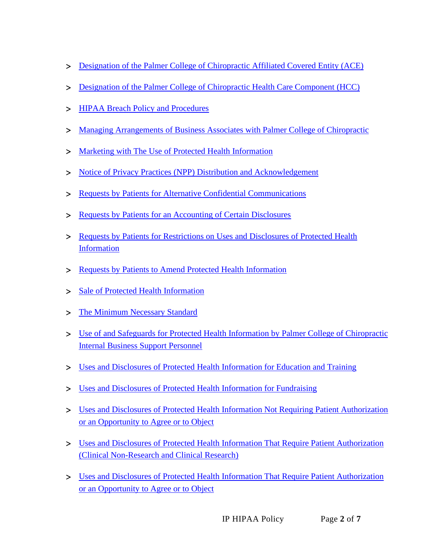- > [Designation of the Palmer College of Chiropractic Affiliated Covered Entity \(ACE\)](https://www.palmer.edu/getmedia/27848e06-5317-4406-96ac-04d7dc0b1e14/ip-hipaa-designation-affiliated-covered-entity.pdf)
- > [Designation of the Palmer College of Chiropractic Health Care Component \(HCC\)](https://www.palmer.edu/getmedia/f93a4e56-714f-4317-b98b-63fd01352375/ip-hipaa-designation-pcc-hcc.pdf)
- > HIPAA Breach Policy and Procedures
- > [Managing Arrangements of Business Associates with](https://www.palmer.edu/getmedia/51a1eb58-49d3-4b24-a7de-5a5d7618c639/ip-hipaa-managing-arrangements-of-biz-associates.pdf) Palmer College of Chiropractic
- > [Marketing with The Use of Protected Health Information](https://www.palmer.edu/getmedia/55dab611-32e0-4f63-b072-c8cd5eb7e4ff/ip-hipaa-marketing-with-use-of-phi.pdf)
- > [Notice of Privacy Practices \(NPP\) Distribution and Acknowledgement](https://www.palmer.edu/getmedia/39a261ee-d8b9-4a12-ad73-cce1a31e3d7e/ip-hipaa-notice-of-privacy-practices.pdf)
- > [Requests by Patients for Alternative Confidential Communications](https://www.palmer.edu/getmedia/8f6154e5-db6c-40ed-94e4-850422c36a23/ip-hipaa-alternative-confidential-communications.pdf)
- > [Requests by Patients for an Accounting of Certain Disclosures](https://www.palmer.edu/getmedia/0dae7641-679c-4207-ae19-49a2805da0a1/IP-HIPAA-Accounting-Certain-Disclosures2.pdf)
- > [Requests by Patients for Restrictions on Uses and Disclosures of Protected Health](https://www.palmer.edu/getmedia/d2fe949f-f364-4cbf-b695-c94d0fa072ce/ip-hipaa-requests-by-patients-for-restrictions-phi.pdf)  **[Information](https://www.palmer.edu/getmedia/d2fe949f-f364-4cbf-b695-c94d0fa072ce/ip-hipaa-requests-by-patients-for-restrictions-phi.pdf)**
- > [Requests by Patients to Amend Protected Health Information](https://www.palmer.edu/getmedia/1cd9f623-cf14-4698-bba3-2c24d7690b3c/ip-hipaa-requests-by-patients-to-amend-phi.pdf)
- > [Sale of Protected Health Information](https://www.palmer.edu/getmedia/164fd809-1296-4310-96e7-09ff09e24984/ip-hipaa-sale-of-phi.pdf)
- > [The Minimum Necessary Standard](https://www.palmer.edu/getmedia/48eaf807-bf5f-4467-b4a8-35904da09bc2/ip-hipaa-minimum-necessary-standard.pdf)
- > [Use of and Safeguards for Protected Health Information by Palmer College of Chiropractic](https://www.palmer.edu/getmedia/78e06237-31c0-4ed4-b40f-698b74492002/ip-hipaa-uses-and-safeguards-phi-by-pcc-internal-biz-assoc.pdf)  [Internal Business Support Personnel](https://www.palmer.edu/getmedia/78e06237-31c0-4ed4-b40f-698b74492002/ip-hipaa-uses-and-safeguards-phi-by-pcc-internal-biz-assoc.pdf)
- > [Uses and Disclosures of Protected Health Information for Education and Training](https://www.palmer.edu/getmedia/cf9014a3-c86a-497d-85b9-8267d644bdc8/ip-hipaa-uses-and-disclosures-of-phi-for-ed-and-training.pdf)
- > [Uses and Disclosures of Protected Health Information for Fundraising](https://www.palmer.edu/getmedia/27fb1623-a91f-48df-ba24-73148b08c2fd/ip-hipaa-uses-and-disclosures-of-phi-fundraising.pdf)
- > [Uses and Disclosures of Protected Health Information Not Requiring Patient Authorization](https://www.palmer.edu/getmedia/7073bd93-0a31-433b-8d46-8069c8c7f488/ip-hipaa-uses-and-disclosures-phi-not-requiring-patient-authorization.pdf)  [or an Opportunity to Agree or to Object](https://www.palmer.edu/getmedia/7073bd93-0a31-433b-8d46-8069c8c7f488/ip-hipaa-uses-and-disclosures-phi-not-requiring-patient-authorization.pdf)
- > [Uses and Disclosures of Protected Health Information That Require Patient Authorization](https://www.palmer.edu/getmedia/fdf2e6c1-a8b4-4ec9-9dcb-521726847d94/ip-hipaa-uses-disclosures-phi-require-patient-authorization-clinical.pdf)  [\(Clinical Non-Research and Clinical Research\)](https://www.palmer.edu/getmedia/fdf2e6c1-a8b4-4ec9-9dcb-521726847d94/ip-hipaa-uses-disclosures-phi-require-patient-authorization-clinical.pdf)
- > Uses and Disclosures of Protected Health [Information That Require Patient Authorization](https://www.palmer.edu/getmedia/f177148d-7269-45bd-a3ec-a1976d01cc9a/ip-hipaa-uses-and-disclosrs-phi-opport-to-agree-or-to-object.pdf)  [or an Opportunity to Agree or to Object](https://www.palmer.edu/getmedia/f177148d-7269-45bd-a3ec-a1976d01cc9a/ip-hipaa-uses-and-disclosrs-phi-opport-to-agree-or-to-object.pdf)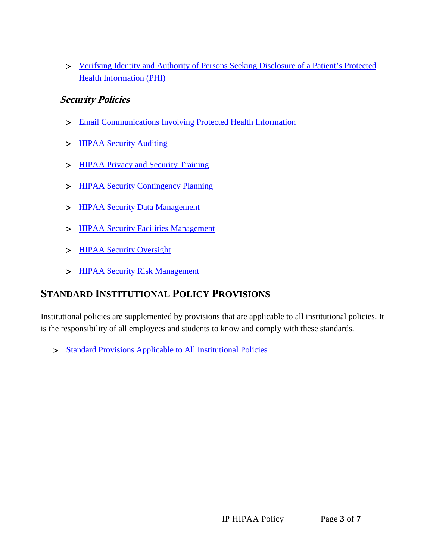> [Verifying Identity and Authority of Persons Seeking Disclosure of a Patient's Protected](https://www.palmer.edu/getmedia/95924fa2-6dfb-4919-b339-ba9c920b813d/ip-hipaa-verifying-identity-and-authority.pdf)  [Health Information \(PHI\)](https://www.palmer.edu/getmedia/95924fa2-6dfb-4919-b339-ba9c920b813d/ip-hipaa-verifying-identity-and-authority.pdf)

#### **Security Policies**

- > [Email Communications Involving Protected Health Information](https://www.palmer.edu/getmedia/451afde0-8c5b-4480-a059-e8a11949f265/ip-hipaa-email-communications-phi.pdf)
- > [HIPAA Security Auditing](https://www.palmer.edu/getmedia/dfb3ddc0-9431-409d-822a-52160c1bc32f/ip-hipaa-security-audit-policy.pdf)
- > [HIPAA Privacy and Security Training](https://www.palmer.edu/getmedia/4294f3a3-e59a-495e-9756-fa93e49c939f/ip-hipaa-privacy-and-security-training.pdf)
- > [HIPAA Security Contingency Planning](https://www.palmer.edu/getmedia/394fd9be-4ab8-4097-accb-a0fc73f021f7/ip-hipaa-security-contingency-plan.pdf)
- > [HIPAA Security Data Management](https://www.palmer.edu/getmedia/3b50a7ad-9cc3-431d-bf7d-07d513d83c4f/ip-hipaa-security-data-management-and-backup.pdf)
- > [HIPAA Security Facilities Management](https://www.palmer.edu/getmedia/989c283d-c10e-4aaa-8aa4-73b125f9950f/ip-hipaa-facilities-management.pdf)
- > [HIPAA Security Oversight](https://www.palmer.edu/getmedia/bf9453f5-d98b-4b9b-94b0-a010a7695a19/ip-hipaa-security-oversight.pdf)
- > [HIPAA Security Risk Management](https://www.palmer.edu/getmedia/86290f13-c8af-4dd8-998b-a037fb14e2d1/ip-hipaa-security-risk-management.pdf)

## **STANDARD INSTITUTIONAL POLICY PROVISIONS**

Institutional policies are supplemented by provisions that are applicable to all institutional policies. It is the responsibility of all employees and students to know and comply with these standards.

> [Standard Provisions Applicable to All Institutional Policies](https://www.palmer.edu/getmedia/7a1240f1-0fb4-41e4-b543-50defa3da2a0/standard-provisions-applicable-to-all-institutional-policies.pdf)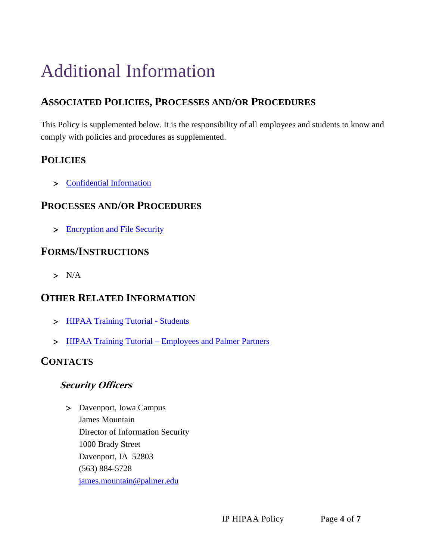# Additional Information

# **ASSOCIATED POLICIES, PROCESSES AND/OR PROCEDURES**

This Policy is supplemented below. It is the responsibility of all employees and students to know and comply with policies and procedures as supplemented.

## **POLICIES**

> [Confidential Information](http://www.palmer.edu/getmedia/40c12bcc-b79e-41c2-855b-5422e1e6b4ad/ip-confidential-information.pdf)

### **PROCESSES AND/OR PROCEDURES**

> Encryption and File Security

### **FORMS/INSTRUCTIONS**

> N/A

## **OTHER RELATED INFORMATION**

- > [HIPAA Training Tutorial -](https://palmerccstudents.safecolleges.com/login) Students
- > HIPAA Training Tutorial [Employees and Palmer Partners](https://palmercc.safecolleges.com/login)

## **CONTACTS**

#### **Security Officers**

> Davenport, Iowa Campus James Mountain Director of Information Security 1000 Brady Street Davenport, IA 52803 (563) 884-5728 [james.mountain@palmer.edu](mailto:james.mountain@palmer.edu)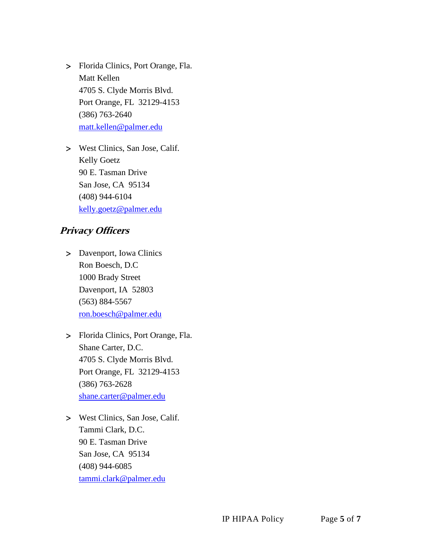> Florida Clinics, Port Orange, Fla. Matt Kellen 4705 S. Clyde Morris Blvd. Port Orange, FL 32129-4153 (386) 763-2640 [matt.kellen@palmer.edu](mailto:matt.kellen@palmer.edu)

> West Clinics, San Jose, Calif. Kelly Goetz 90 E. Tasman Drive San Jose, CA 95134 (408) 944-6104 [kelly.goetz@palmer.edu](mailto:kelly.goetz@palmer.edu)

#### **Privacy Officers**

- > Davenport, Iowa Clinics Ron Boesch, D.C 1000 Brady Street Davenport, IA 52803 (563) 884-5567 [ron.boesch@palmer.edu](mailto:ron.boesch@palmer.edu)
- > Florida Clinics, Port Orange, Fla. Shane Carter, D.C. 4705 S. Clyde Morris Blvd. Port Orange, FL 32129-4153 (386) 763-2628 [shane.carter@palmer.edu](mailto:shane.carter@palmer.edu)
- > West Clinics, San Jose, Calif. Tammi Clark, D.C. 90 E. Tasman Drive San Jose, CA 95134 (408) 944-6085 [tammi.clark@palmer.edu](mailto:tammi.clark@palmer.edu)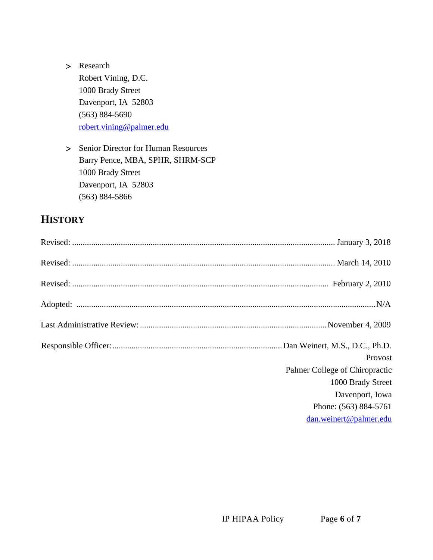> Research

Robert Vining, D.C. 1000 Brady Street Davenport, IA 52803 (563) 884-5690 [robert.vining@palmer.edu](mailto:robert.vining@palmer.edu)

> Senior Director for Human Resources Barry Pence, MBA, SPHR, SHRM-SCP 1000 Brady Street Davenport, IA 52803 (563) 884-5866

## **HISTORY**

| Provost<br>Palmer College of Chiropractic<br>1000 Brady Street<br>Davenport, Iowa<br>Phone: (563) 884-5761<br>dan.weinert@palmer.edu |
|--------------------------------------------------------------------------------------------------------------------------------------|